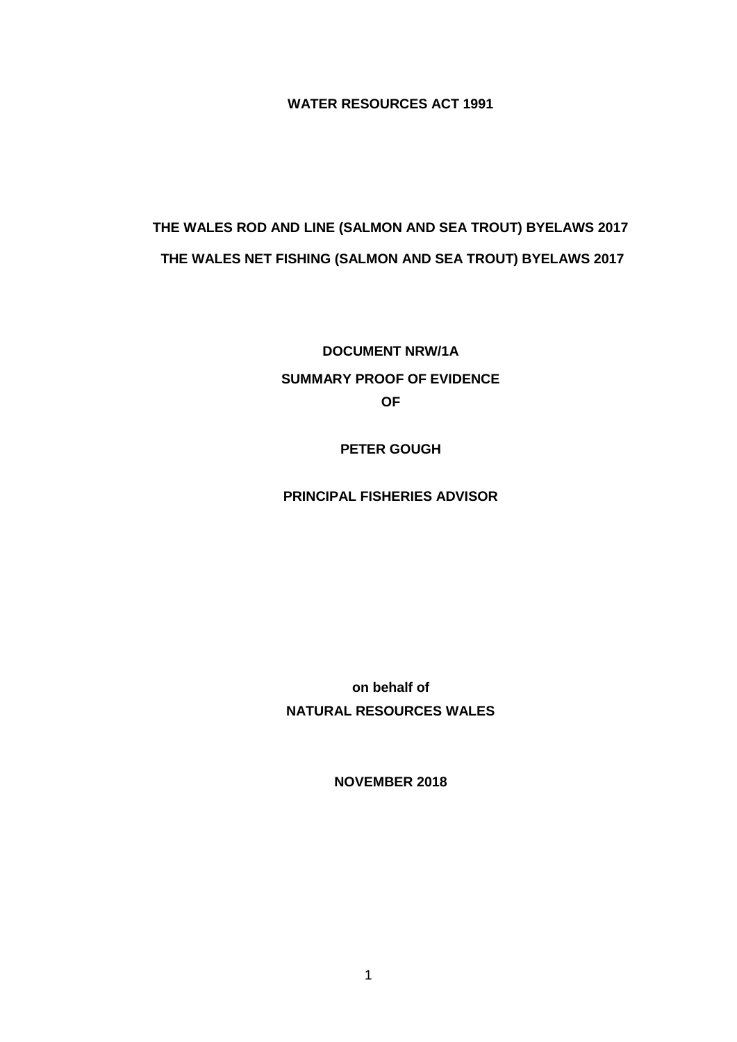**WATER RESOURCES ACT 1991**

# **THE WALES ROD AND LINE (SALMON AND SEA TROUT) BYELAWS 2017 THE WALES NET FISHING (SALMON AND SEA TROUT) BYELAWS 2017**

**DOCUMENT NRW/1A SUMMARY PROOF OF EVIDENCE OF**

**PETER GOUGH**

**PRINCIPAL FISHERIES ADVISOR**

**on behalf of NATURAL RESOURCES WALES**

**NOVEMBER 2018**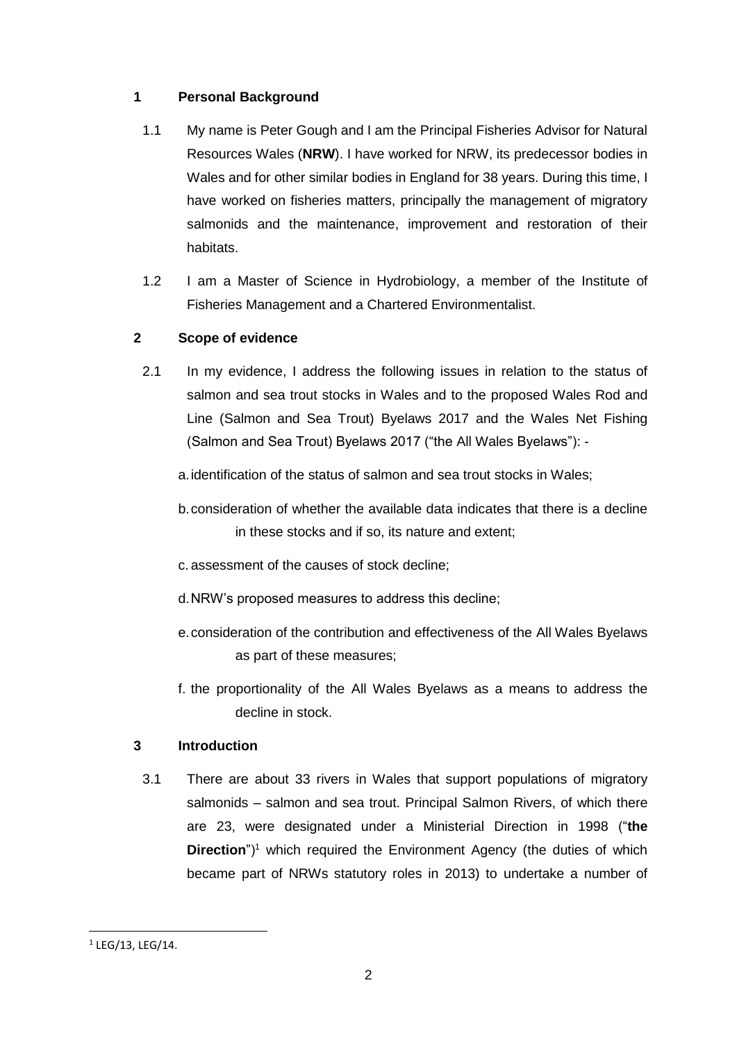# **1 Personal Background**

- 1.1 My name is Peter Gough and I am the Principal Fisheries Advisor for Natural Resources Wales (**NRW**). I have worked for NRW, its predecessor bodies in Wales and for other similar bodies in England for 38 years. During this time, I have worked on fisheries matters, principally the management of migratory salmonids and the maintenance, improvement and restoration of their habitats.
- 1.2 I am a Master of Science in Hydrobiology, a member of the Institute of Fisheries Management and a Chartered Environmentalist.

# **2 Scope of evidence**

- 2.1 In my evidence, I address the following issues in relation to the status of salmon and sea trout stocks in Wales and to the proposed Wales Rod and Line (Salmon and Sea Trout) Byelaws 2017 and the Wales Net Fishing (Salmon and Sea Trout) Byelaws 2017 ("the All Wales Byelaws"):
	- a.identification of the status of salmon and sea trout stocks in Wales;
	- b.consideration of whether the available data indicates that there is a decline in these stocks and if so, its nature and extent;
	- c. assessment of the causes of stock decline;
	- d.NRW's proposed measures to address this decline;
	- e.consideration of the contribution and effectiveness of the All Wales Byelaws as part of these measures;
	- f. the proportionality of the All Wales Byelaws as a means to address the decline in stock.

# **3 Introduction**

3.1 There are about 33 rivers in Wales that support populations of migratory salmonids – salmon and sea trout. Principal Salmon Rivers, of which there are 23, were designated under a Ministerial Direction in 1998 ("**the Direction**")<sup>1</sup> which required the Environment Agency (the duties of which became part of NRWs statutory roles in 2013) to undertake a number of

**.** 

 $1$  LEG/13, LEG/14.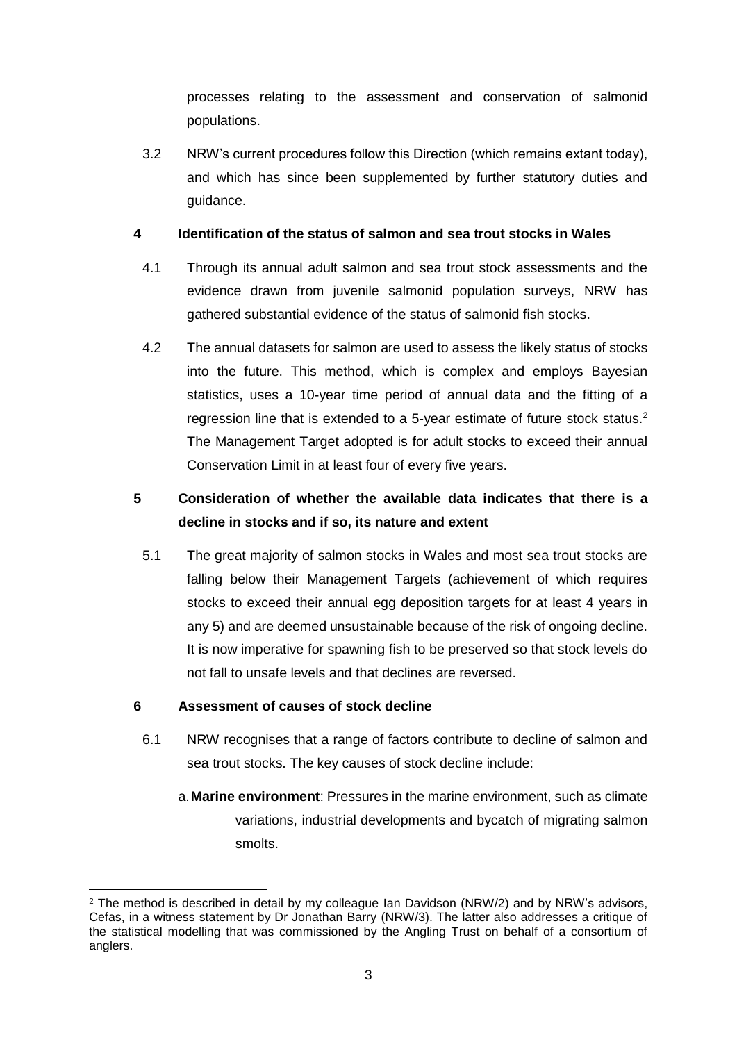processes relating to the assessment and conservation of salmonid populations.

3.2 NRW's current procedures follow this Direction (which remains extant today), and which has since been supplemented by further statutory duties and guidance.

## **4 Identification of the status of salmon and sea trout stocks in Wales**

- 4.1 Through its annual adult salmon and sea trout stock assessments and the evidence drawn from juvenile salmonid population surveys, NRW has gathered substantial evidence of the status of salmonid fish stocks.
- 4.2 The annual datasets for salmon are used to assess the likely status of stocks into the future. This method, which is complex and employs Bayesian statistics, uses a 10-year time period of annual data and the fitting of a regression line that is extended to a 5-year estimate of future stock status.<sup>2</sup> The Management Target adopted is for adult stocks to exceed their annual Conservation Limit in at least four of every five years.

# **5 Consideration of whether the available data indicates that there is a decline in stocks and if so, its nature and extent**

5.1 The great majority of salmon stocks in Wales and most sea trout stocks are falling below their Management Targets (achievement of which requires stocks to exceed their annual egg deposition targets for at least 4 years in any 5) and are deemed unsustainable because of the risk of ongoing decline. It is now imperative for spawning fish to be preserved so that stock levels do not fall to unsafe levels and that declines are reversed.

# **6 Assessment of causes of stock decline**

- 6.1 NRW recognises that a range of factors contribute to decline of salmon and sea trout stocks. The key causes of stock decline include:
	- a.**Marine environment**: Pressures in the marine environment, such as climate variations, industrial developments and bycatch of migrating salmon smolts.

**<sup>.</sup>**  $2$  The method is described in detail by my colleague Ian Davidson (NRW/2) and by NRW's advisors, Cefas, in a witness statement by Dr Jonathan Barry (NRW/3). The latter also addresses a critique of the statistical modelling that was commissioned by the Angling Trust on behalf of a consortium of anglers.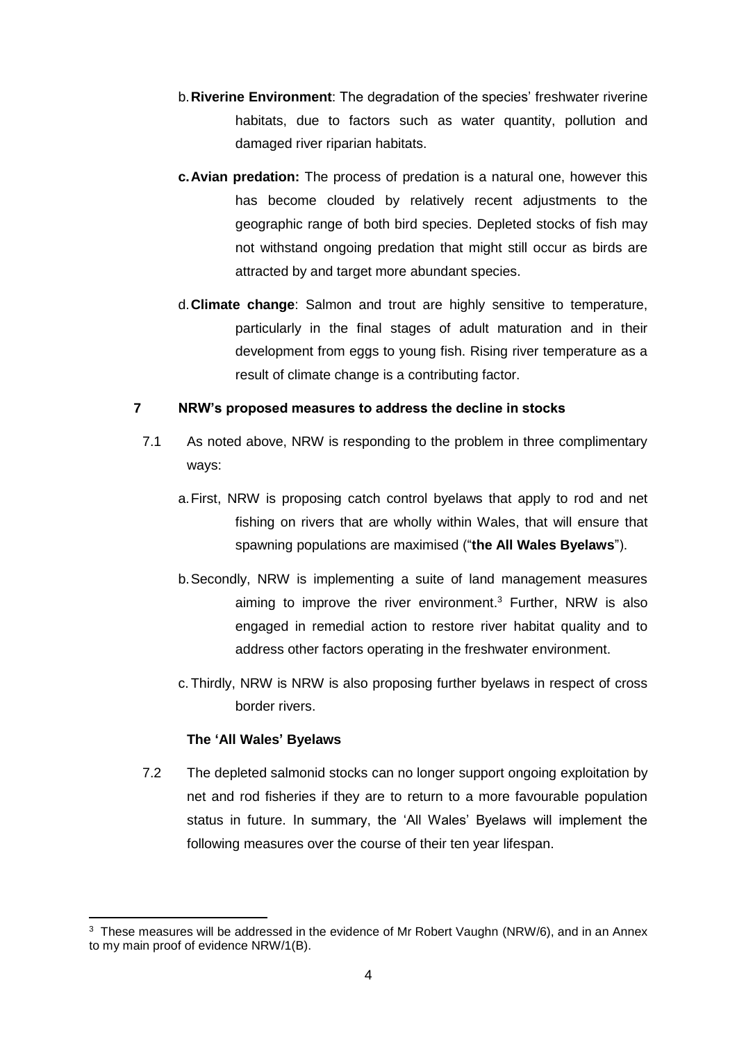- b.**Riverine Environment**: The degradation of the species' freshwater riverine habitats, due to factors such as water quantity, pollution and damaged river riparian habitats.
- **c.Avian predation:** The process of predation is a natural one, however this has become clouded by relatively recent adjustments to the geographic range of both bird species. Depleted stocks of fish may not withstand ongoing predation that might still occur as birds are attracted by and target more abundant species.
- d.**Climate change**: Salmon and trout are highly sensitive to temperature, particularly in the final stages of adult maturation and in their development from eggs to young fish. Rising river temperature as a result of climate change is a contributing factor.

#### **7 NRW's proposed measures to address the decline in stocks**

- 7.1 As noted above, NRW is responding to the problem in three complimentary ways:
	- a.First, NRW is proposing catch control byelaws that apply to rod and net fishing on rivers that are wholly within Wales, that will ensure that spawning populations are maximised ("**the All Wales Byelaws**").
	- b.Secondly, NRW is implementing a suite of land management measures aiming to improve the river environment. <sup>3</sup> Further, NRW is also engaged in remedial action to restore river habitat quality and to address other factors operating in the freshwater environment.
	- c.Thirdly, NRW is NRW is also proposing further byelaws in respect of cross border rivers.

#### **The 'All Wales' Byelaws**

**.** 

7.2 The depleted salmonid stocks can no longer support ongoing exploitation by net and rod fisheries if they are to return to a more favourable population status in future. In summary, the 'All Wales' Byelaws will implement the following measures over the course of their ten year lifespan.

<sup>&</sup>lt;sup>3</sup> These measures will be addressed in the evidence of Mr Robert Vaughn (NRW/6), and in an Annex to my main proof of evidence NRW/1(B).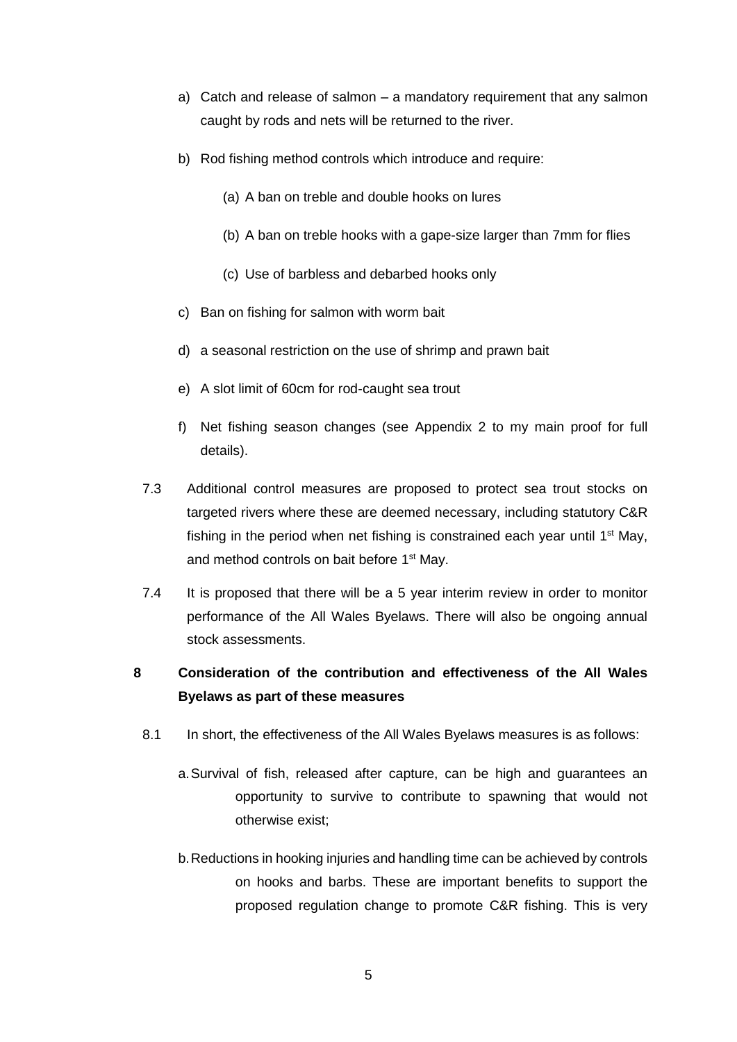- a) Catch and release of salmon a mandatory requirement that any salmon caught by rods and nets will be returned to the river.
- b) Rod fishing method controls which introduce and require:
	- (a) A ban on treble and double hooks on lures
	- (b) A ban on treble hooks with a gape-size larger than 7mm for flies
	- (c) Use of barbless and debarbed hooks only
- c) Ban on fishing for salmon with worm bait
- d) a seasonal restriction on the use of shrimp and prawn bait
- e) A slot limit of 60cm for rod-caught sea trout
- f) Net fishing season changes (see Appendix 2 to my main proof for full details).
- 7.3 Additional control measures are proposed to protect sea trout stocks on targeted rivers where these are deemed necessary, including statutory C&R fishing in the period when net fishing is constrained each year until  $1<sup>st</sup>$  May, and method controls on bait before 1<sup>st</sup> May.
- 7.4 It is proposed that there will be a 5 year interim review in order to monitor performance of the All Wales Byelaws. There will also be ongoing annual stock assessments.
- **8 Consideration of the contribution and effectiveness of the All Wales Byelaws as part of these measures** 
	- 8.1 In short, the effectiveness of the All Wales Byelaws measures is as follows:
		- a.Survival of fish, released after capture, can be high and guarantees an opportunity to survive to contribute to spawning that would not otherwise exist;
		- b.Reductions in hooking injuries and handling time can be achieved by controls on hooks and barbs. These are important benefits to support the proposed regulation change to promote C&R fishing. This is very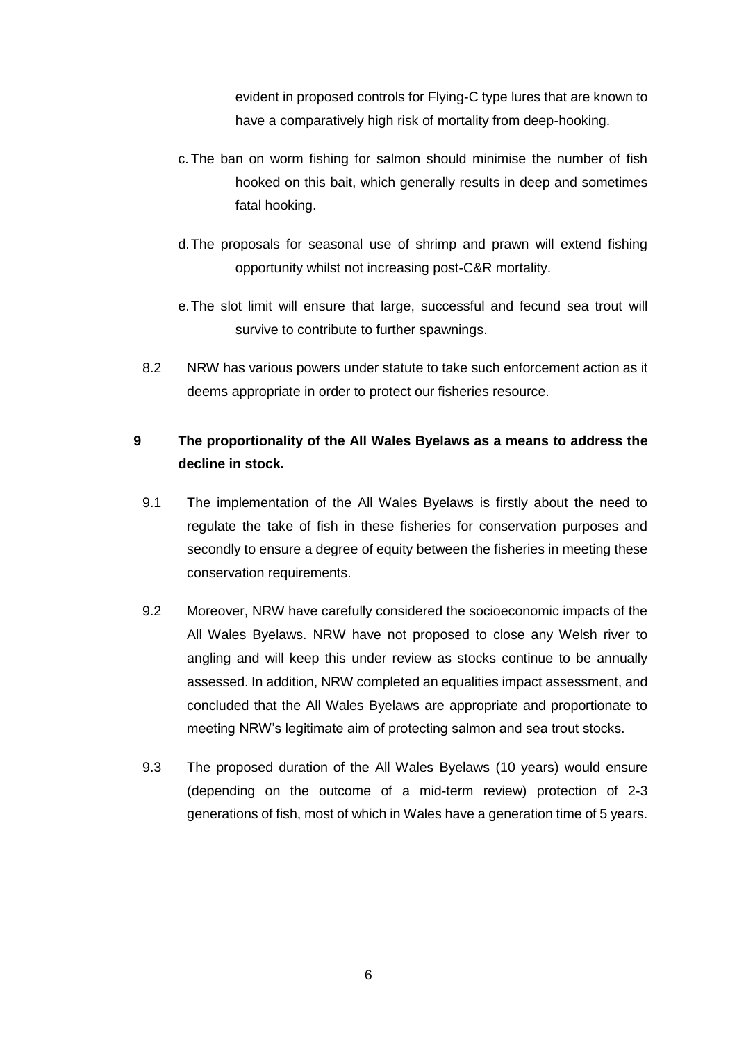evident in proposed controls for Flying-C type lures that are known to have a comparatively high risk of mortality from deep-hooking.

- c.The ban on worm fishing for salmon should minimise the number of fish hooked on this bait, which generally results in deep and sometimes fatal hooking.
- d.The proposals for seasonal use of shrimp and prawn will extend fishing opportunity whilst not increasing post-C&R mortality.
- e.The slot limit will ensure that large, successful and fecund sea trout will survive to contribute to further spawnings.
- 8.2 NRW has various powers under statute to take such enforcement action as it deems appropriate in order to protect our fisheries resource.

# **9 The proportionality of the All Wales Byelaws as a means to address the decline in stock.**

- 9.1 The implementation of the All Wales Byelaws is firstly about the need to regulate the take of fish in these fisheries for conservation purposes and secondly to ensure a degree of equity between the fisheries in meeting these conservation requirements.
- 9.2 Moreover, NRW have carefully considered the socioeconomic impacts of the All Wales Byelaws. NRW have not proposed to close any Welsh river to angling and will keep this under review as stocks continue to be annually assessed. In addition, NRW completed an equalities impact assessment, and concluded that the All Wales Byelaws are appropriate and proportionate to meeting NRW's legitimate aim of protecting salmon and sea trout stocks.
- 9.3 The proposed duration of the All Wales Byelaws (10 years) would ensure (depending on the outcome of a mid-term review) protection of 2-3 generations of fish, most of which in Wales have a generation time of 5 years.